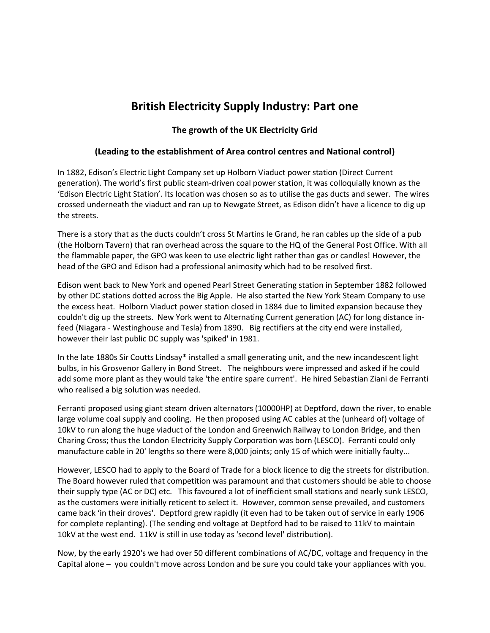## **British Electricity Supply Industry: Part one**

## **The growth of the UK Electricity Grid**

## **(Leading to the establishment of Area control centres and National control)**

In 1882, Edison's Electric Light Company set up Holborn Viaduct power station (Direct Current generation). The world's first public steam-driven coal power station, it was colloquially known as the 'Edison Electric Light Station'. Its location was chosen so as to utilise the gas ducts and sewer. The wires crossed underneath the viaduct and ran up to Newgate Street, as Edison didn't have a licence to dig up the streets.

There is a story that as the ducts couldn't cross St Martins le Grand, he ran cables up the side of a pub (the Holborn Tavern) that ran overhead across the square to the HQ of the General Post Office. With all the flammable paper, the GPO was keen to use electric light rather than gas or candles! However, the head of the GPO and Edison had a professional animosity which had to be resolved first.

Edison went back to New York and opened Pearl Street Generating station in September 1882 followed by other DC stations dotted across the Big Apple. He also started the New York Steam Company to use the excess heat. Holborn Viaduct power station closed in 1884 due to limited expansion because they couldn't dig up the streets. New York went to Alternating Current generation (AC) for long distance infeed (Niagara - Westinghouse and Tesla) from 1890. Big rectifiers at the city end were installed, however their last public DC supply was 'spiked' in 1981.

In the late 1880s Sir Coutts Lindsay\* installed a small generating unit, and the new incandescent light bulbs, in his Grosvenor Gallery in Bond Street. The neighbours were impressed and asked if he could add some more plant as they would take 'the entire spare current'. He hired Sebastian Ziani de Ferranti who realised a big solution was needed.

Ferranti proposed using giant steam driven alternators (10000HP) at Deptford, down the river, to enable large volume coal supply and cooling. He then proposed using AC cables at the (unheard of) voltage of 10kV to run along the huge viaduct of the London and Greenwich Railway to London Bridge, and then Charing Cross; thus the London Electricity Supply Corporation was born (LESCO). Ferranti could only manufacture cable in 20' lengths so there were 8,000 joints; only 15 of which were initially faulty...

However, LESCO had to apply to the Board of Trade for a block licence to dig the streets for distribution. The Board however ruled that competition was paramount and that customers should be able to choose their supply type (AC or DC) etc. This favoured a lot of inefficient small stations and nearly sunk LESCO, as the customers were initially reticent to select it. However, common sense prevailed, and customers came back 'in their droves'. Deptford grew rapidly (it even had to be taken out of service in early 1906 for complete replanting). (The sending end voltage at Deptford had to be raised to 11kV to maintain 10kV at the west end. 11kV is still in use today as 'second level' distribution).

Now, by the early 1920's we had over 50 different combinations of AC/DC, voltage and frequency in the Capital alone – you couldn't move across London and be sure you could take your appliances with you.